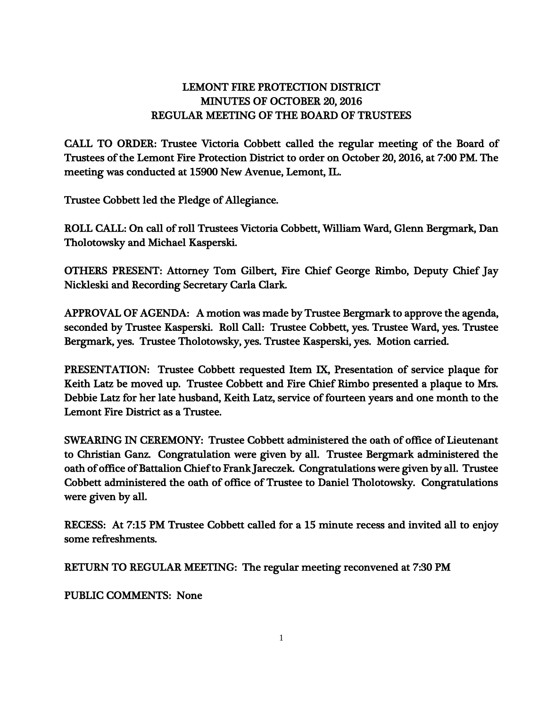## LEMONT FIRE PROTECTION DISTRICT MINUTES OF OCTOBER 20, 2016 REGULAR MEETING OF THE BOARD OF TRUSTEES

CALL TO ORDER: Trustee Victoria Cobbett called the regular meeting of the Board of Trustees of the Lemont Fire Protection District to order on October 20, 2016, at 7:00 PM. The meeting was conducted at 15900 New Avenue, Lemont, IL.

Trustee Cobbett led the Pledge of Allegiance.

ROLL CALL: On call of roll Trustees Victoria Cobbett, William Ward, Glenn Bergmark, Dan Tholotowsky and Michael Kasperski.

OTHERS PRESENT: Attorney Tom Gilbert, Fire Chief George Rimbo, Deputy Chief Jay Nickleski and Recording Secretary Carla Clark.

APPROVAL OF AGENDA: A motion was made by Trustee Bergmark to approve the agenda, seconded by Trustee Kasperski. Roll Call: Trustee Cobbett, yes. Trustee Ward, yes. Trustee Bergmark, yes. Trustee Tholotowsky, yes. Trustee Kasperski, yes. Motion carried.

PRESENTATION: Trustee Cobbett requested Item IX, Presentation of service plaque for Keith Latz be moved up. Trustee Cobbett and Fire Chief Rimbo presented a plaque to Mrs. Debbie Latz for her late husband, Keith Latz, service of fourteen years and one month to the Lemont Fire District as a Trustee.

SWEARING IN CEREMONY: Trustee Cobbett administered the oath of office of Lieutenant to Christian Ganz. Congratulation were given by all. Trustee Bergmark administered the oath of office of Battalion Chief to Frank Jareczek. Congratulations were given by all. Trustee Cobbett administered the oath of office of Trustee to Daniel Tholotowsky. Congratulations were given by all.

RECESS: At 7:15 PM Trustee Cobbett called for a 15 minute recess and invited all to enjoy some refreshments.

RETURN TO REGULAR MEETING: The regular meeting reconvened at 7:30 PM

PUBLIC COMMENTS: None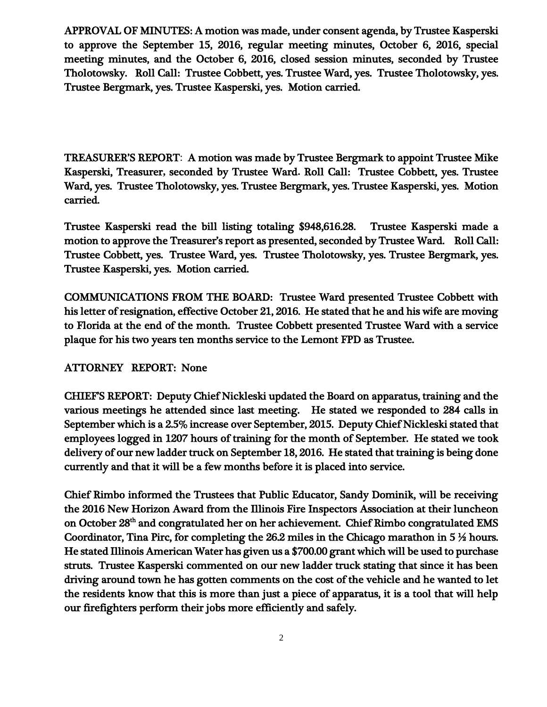APPROVAL OF MINUTES: A motion was made, under consent agenda, by Trustee Kasperski to approve the September 15, 2016, regular meeting minutes, October 6, 2016, special meeting minutes, and the October 6, 2016, closed session minutes, seconded by Trustee Tholotowsky. Roll Call: Trustee Cobbett, yes. Trustee Ward, yes. Trustee Tholotowsky, yes. Trustee Bergmark, yes. Trustee Kasperski, yes. Motion carried.

TREASURER'S REPORT: A motion was made by Trustee Bergmark to appoint Trustee Mike Kasperski, Treasurer**,** seconded by Trustee Ward**.** Roll Call: Trustee Cobbett, yes. Trustee Ward, yes. Trustee Tholotowsky, yes. Trustee Bergmark, yes. Trustee Kasperski, yes. Motion carried.

Trustee Kasperski read the bill listing totaling \$948,616.28. Trustee Kasperski made a motion to approve the Treasurer's report as presented, seconded by Trustee Ward. Roll Call: Trustee Cobbett, yes. Trustee Ward, yes. Trustee Tholotowsky, yes. Trustee Bergmark, yes. Trustee Kasperski, yes. Motion carried.

COMMUNICATIONS FROM THE BOARD: Trustee Ward presented Trustee Cobbett with his letter of resignation, effective October 21, 2016. He stated that he and his wife are moving to Florida at the end of the month. Trustee Cobbett presented Trustee Ward with a service plaque for his two years ten months service to the Lemont FPD as Trustee.

## ATTORNEY REPORT: None

CHIEF'S REPORT: Deputy Chief Nickleski updated the Board on apparatus, training and the various meetings he attended since last meeting. He stated we responded to 284 calls in September which is a 2.5% increase over September, 2015. Deputy Chief Nickleski stated that employees logged in 1207 hours of training for the month of September. He stated we took delivery of our new ladder truck on September 18, 2016. He stated that training is being done currently and that it will be a few months before it is placed into service.

Chief Rimbo informed the Trustees that Public Educator, Sandy Dominik, will be receiving the 2016 New Horizon Award from the Illinois Fire Inspectors Association at their luncheon on October 28<sup>th</sup> and congratulated her on her achievement. Chief Rimbo congratulated EMS Coordinator, Tina Pirc, for completing the 26.2 miles in the Chicago marathon in  $5\frac{1}{2}$  hours. He stated Illinois American Water has given us a \$700.00 grant which will be used to purchase struts. Trustee Kasperski commented on our new ladder truck stating that since it has been driving around town he has gotten comments on the cost of the vehicle and he wanted to let the residents know that this is more than just a piece of apparatus, it is a tool that will help our firefighters perform their jobs more efficiently and safely.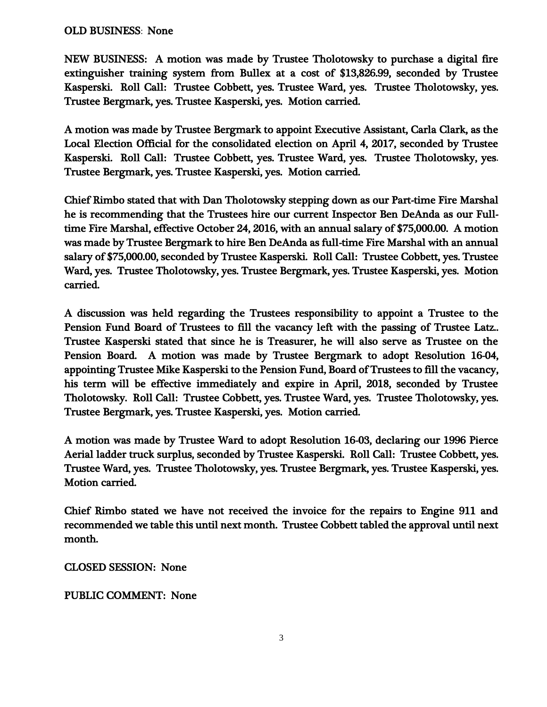## OLD BUSINESS: None

NEW BUSINESS: A motion was made by Trustee Tholotowsky to purchase a digital fire extinguisher training system from Bullex at a cost of \$13,826.99, seconded by Trustee Kasperski. Roll Call: Trustee Cobbett, yes. Trustee Ward, yes. Trustee Tholotowsky, yes. Trustee Bergmark, yes. Trustee Kasperski, yes. Motion carried.

A motion was made by Trustee Bergmark to appoint Executive Assistant, Carla Clark, as the Local Election Official for the consolidated election on April 4, 2017, seconded by Trustee Kasperski. Roll Call: Trustee Cobbett, yes. Trustee Ward, yes. Trustee Tholotowsky, yes. Trustee Bergmark, yes. Trustee Kasperski, yes. Motion carried.

Chief Rimbo stated that with Dan Tholotowsky stepping down as our Part-time Fire Marshal he is recommending that the Trustees hire our current Inspector Ben DeAnda as our Fulltime Fire Marshal, effective October 24, 2016, with an annual salary of \$75,000.00. A motion was made by Trustee Bergmark to hire Ben DeAnda as full-time Fire Marshal with an annual salary of \$75,000.00, seconded by Trustee Kasperski. Roll Call: Trustee Cobbett, yes. Trustee Ward, yes. Trustee Tholotowsky, yes. Trustee Bergmark, yes. Trustee Kasperski, yes. Motion carried.

A discussion was held regarding the Trustees responsibility to appoint a Trustee to the Pension Fund Board of Trustees to fill the vacancy left with the passing of Trustee Latz.. Trustee Kasperski stated that since he is Treasurer, he will also serve as Trustee on the Pension Board. A motion was made by Trustee Bergmark to adopt Resolution 16-04, appointing Trustee Mike Kasperski to the Pension Fund, Board of Trustees to fill the vacancy, his term will be effective immediately and expire in April, 2018, seconded by Trustee Tholotowsky. Roll Call: Trustee Cobbett, yes. Trustee Ward, yes. Trustee Tholotowsky, yes. Trustee Bergmark, yes. Trustee Kasperski, yes. Motion carried.

A motion was made by Trustee Ward to adopt Resolution 16-03, declaring our 1996 Pierce Aerial ladder truck surplus, seconded by Trustee Kasperski. Roll Call: Trustee Cobbett, yes. Trustee Ward, yes. Trustee Tholotowsky, yes. Trustee Bergmark, yes. Trustee Kasperski, yes. Motion carried.

Chief Rimbo stated we have not received the invoice for the repairs to Engine 911 and recommended we table this until next month. Trustee Cobbett tabled the approval until next month.

CLOSED SESSION: None

## PUBLIC COMMENT: None